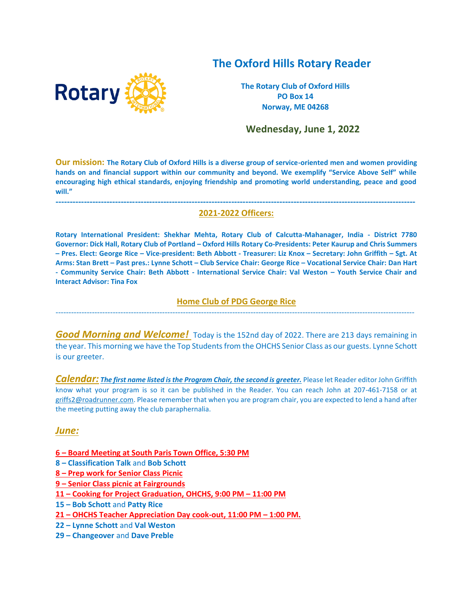# **The Oxford Hills Rotary Reader**



**The Rotary Club of Oxford Hills PO Box 14 Norway, ME 04268**

 **Wednesday, June 1, 2022**

**Our mission: The Rotary Club of Oxford Hills is a diverse group of service-oriented men and women providing hands on and financial support within our community and beyond. We exemplify "Service Above Self" while encouraging high ethical standards, enjoying friendship and promoting world understanding, peace and good will."**

#### **------------------------------------------------------------------------------------------------------------------------------- 2021-2022 Officers:**

**Rotary International President: Shekhar Mehta, Rotary Club of Calcutta-Mahanager, India - District 7780 Governor: Dick Hall, Rotary Club of Portland – Oxford Hills Rotary Co-Presidents: Peter Kaurup and Chris Summers – Pres. Elect: George Rice – Vice-president: Beth Abbott - Treasurer: Liz Knox – Secretary: John Griffith – Sgt. At Arms: Stan Brett – Past pres.: Lynne Schott – Club Service Chair: George Rice – Vocational Service Chair: Dan Hart - Community Service Chair: Beth Abbott - International Service Chair: Val Weston – Youth Service Chair and Interact Advisor: Tina Fox**

### **Home Club of PDG George Rice**  ------------------------------------------------------------------------------------------------------------------------------------------

*Good Morning and Welcome!* Today is the 152nd day of 2022. There are 213 days remaining in the year. This morning we have the Top Students from the OHCHS Senior Class as our guests. Lynne Schott is our greeter.

*Calendar: The first name listed is the Program Chair, the second is greeter.* Please let Reader editor John Griffith know what your program is so it can be published in the Reader. You can reach John at 207-461-7158 or at [griffs2@roadrunner.com.](mailto:griffs2@roadrunner.com) Please remember that when you are program chair, you are expected to lend a hand after the meeting putting away the club paraphernalia.

#### *June:*

- **6 – Board Meeting at South Paris Town Office, 5:30 PM**
- **8 – Classification Talk** and **Bob Schott**
- **8 – Prep work for Senior Class Picnic**
- **9 – Senior Class picnic at Fairgrounds**
- **11 – Cooking for Project Graduation, OHCHS, 9:00 PM – 11:00 PM**
- **15 – Bob Schott** and **Patty Rice**
- **21 – OHCHS Teacher Appreciation Day cook-out, 11:00 PM – 1:00 PM.**
- **22 – Lynne Schott** and **Val Weston**
- **29 – Changeover** and **Dave Preble**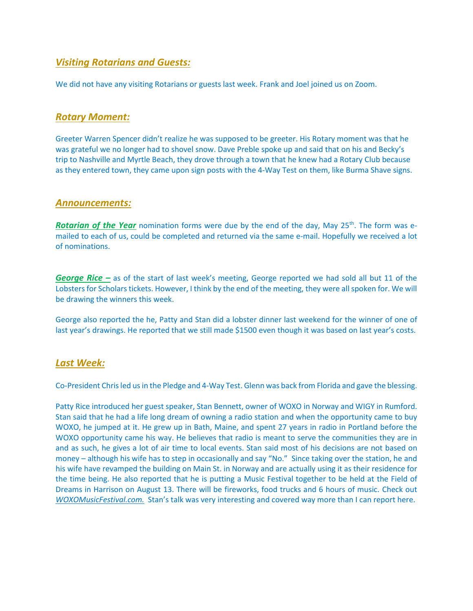## *Visiting Rotarians and Guests:*

We did not have any visiting Rotarians or guests last week. Frank and Joel joined us on Zoom.

### *Rotary Moment:*

Greeter Warren Spencer didn't realize he was supposed to be greeter. His Rotary moment was that he was grateful we no longer had to shovel snow. Dave Preble spoke up and said that on his and Becky's trip to Nashville and Myrtle Beach, they drove through a town that he knew had a Rotary Club because as they entered town, they came upon sign posts with the 4-Way Test on them, like Burma Shave signs.

#### *Announcements:*

**Rotarian of the Year** nomination forms were due by the end of the day, May 25<sup>th</sup>. The form was emailed to each of us, could be completed and returned via the same e-mail. Hopefully we received a lot of nominations.

*George Rice –* as of the start of last week's meeting, George reported we had sold all but 11 of the Lobsters for Scholars tickets. However, I think by the end of the meeting, they were all spoken for. We will be drawing the winners this week.

George also reported the he, Patty and Stan did a lobster dinner last weekend for the winner of one of last year's drawings. He reported that we still made \$1500 even though it was based on last year's costs.

## *Last Week:*

Co-President Chris led us in the Pledge and 4-Way Test. Glenn was back from Florida and gave the blessing.

Patty Rice introduced her guest speaker, Stan Bennett, owner of WOXO in Norway and WIGY in Rumford. Stan said that he had a life long dream of owning a radio station and when the opportunity came to buy WOXO, he jumped at it. He grew up in Bath, Maine, and spent 27 years in radio in Portland before the WOXO opportunity came his way. He believes that radio is meant to serve the communities they are in and as such, he gives a lot of air time to local events. Stan said most of his decisions are not based on money – although his wife has to step in occasionally and say "No." Since taking over the station, he and his wife have revamped the building on Main St. in Norway and are actually using it as their residence for the time being. He also reported that he is putting a Music Festival together to be held at the Field of Dreams in Harrison on August 13. There will be fireworks, food trucks and 6 hours of music. Check out *WOXOMusicFestival.com.* Stan's talk was very interesting and covered way more than I can report here.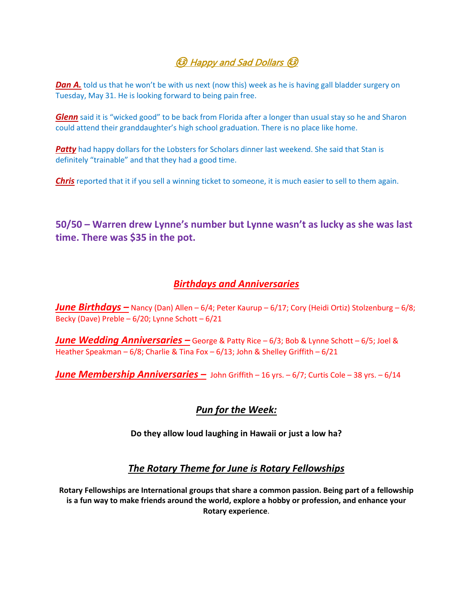# **િ** Happy and Sad Dollars <sup>(</sup>િ

**Dan A.** told us that he won't be with us next (now this) week as he is having gall bladder surgery on Tuesday, May 31. He is looking forward to being pain free.

*Glenn* said it is "wicked good" to be back from Florida after a longer than usual stay so he and Sharon could attend their granddaughter's high school graduation. There is no place like home.

**Patty** had happy dollars for the Lobsters for Scholars dinner last weekend. She said that Stan is definitely "trainable" and that they had a good time.

*Chris* reported that it if you sell a winning ticket to someone, it is much easier to sell to them again.

**50/50 – Warren drew Lynne's number but Lynne wasn't as lucky as she was last time. There was \$35 in the pot.** 

# *Birthdays and Anniversaries*

*June Birthdays –* Nancy (Dan) Allen – 6/4; Peter Kaurup – 6/17; Cory (Heidi Ortiz) Stolzenburg – 6/8; Becky (Dave) Preble – 6/20; Lynne Schott – 6/21

*June Wedding Anniversaries –* George & Patty Rice – 6/3; Bob & Lynne Schott – 6/5; Joel & Heather Speakman – 6/8; Charlie & Tina Fox – 6/13; John & Shelley Griffith – 6/21

*June Membership Anniversaries –* John Griffith – 16 yrs. – 6/7; Curtis Cole – 38 yrs. – 6/14

# *Pun for the Week:*

**Do they allow loud laughing in Hawaii or just a low ha?** 

# *The Rotary Theme for June is Rotary Fellowships*

**Rotary Fellowships are International groups that share a common passion. Being part of a fellowship is a fun way to make friends around the world, explore a hobby or profession, and enhance your Rotary experience**.